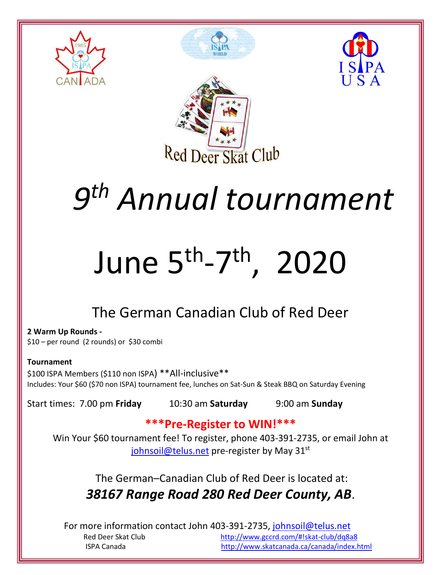







## *9 th Annual tournament*

# June 5<sup>th</sup>-7<sup>th</sup>, 2020

### The German Canadian Club of Red Deer

**2 Warm Up Rounds -** \$10 – per round (2 rounds) or \$30 combi

#### **Tournament**

\$100 ISPA Members (\$110 non ISPA) \*\*All-inclusive\*\* Includes: Your \$60 (\$70 non ISPA) tournament fee, lunches on Sat-Sun & Steak BBQ on Saturday Evening

Start times: 7.00 pm **Friday** 10:30 am **Saturday** 9:00 am **Sunday**

### **\*\*\*Pre-Register to WIN!\*\*\***

Win Your \$60 tournament fee! To register, phone 403-391-2735, or email John at [johnsoil@telus.net](mailto:johnsoil@telus.net) pre-register by May 31<sup>st</sup>

The German–Canadian Club of Red Deer is located at: *38167 Range Road 280 Red Deer County, AB*.

For more information contact John 403-391-2735, [johnsoil@telus.net](mailto:johnsoil@telus.net) Red Deer Skat Club <http://www.gccrd.com/#!skat-club/dq8a8> ISPA Canada <http://www.skatcanada.ca/canada/index.html>